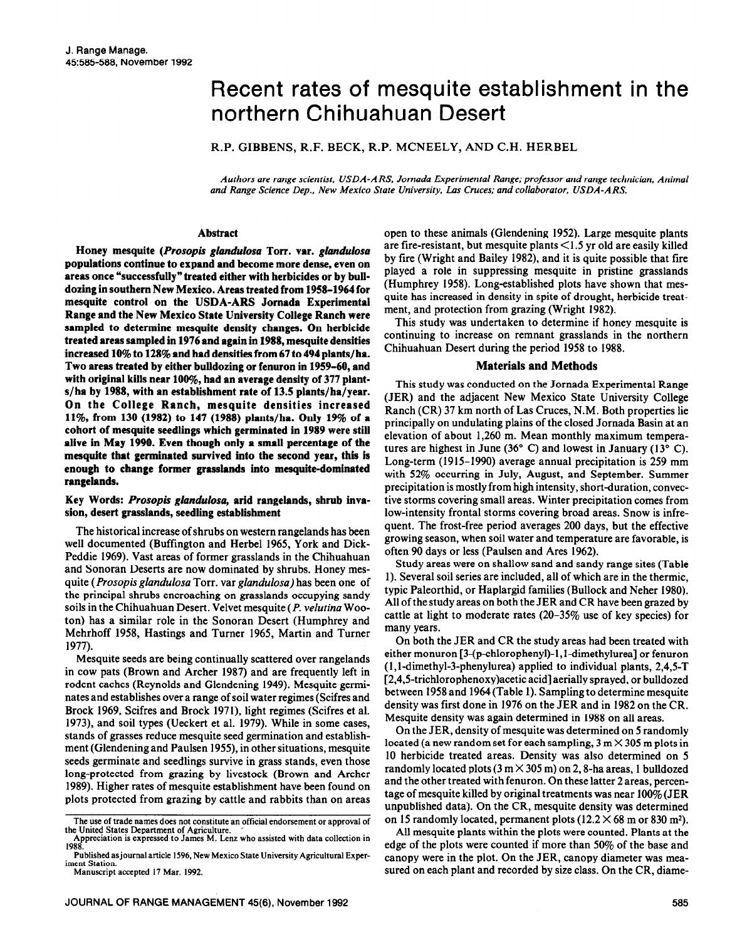# Recent rates of mesquite establishment in the northern Chihuahuan Desert

R.P. GIBBENS, R.F. BECK, R.P. MCNEELY, AND C.H. HERBEL

*Authors are range scientist, USDA-ARS. Jornada Experimental* Range; *professor and range technician, Animal and Range Science Dep., New Mexico State University, Las Cruces; and collaborator, USDA-ARS.* 

# **Abstract**

**Honey mesquite** *(Prosopis ghndu~osa* **Torr. var.** *ghndulosa*  **populations continue to expand and become more dense, even on areas once "successfully" treated either with herbicides or by bulldozing in southern New Mexico. Areas treated from 1958-1964 for mesquite control on the USDA-ARS Jornada Experimental Range and the New Mexico State University College Ranch were sampled to determine mesquite density changes. On herbicide treated areas sampled in 1976 and again in 1988, mesquite densities increased 10% to 128% and had densities from 67 to 494 plants/ha. Two areas treated by either bulldozing or fenuron in 1959-60, and**  with original kills near 100%, had an average density of 377 plant**s/ha by 1988, with an establishment rate of 13.5 plants/ha/year. On the College Ranch, mesquite densities increased ll%, from 130 (1982) to 147 (1988) plants/ha. Only 19% of a cohort of mesquite seedlings which germinated in 1989 were still alive in May 1990. Even though only a small percentage of the mesquite that germinated survived into the second year, this is enough to change former grasshmds into mesquite-dominated rangelands.** 

### **Key Words:** *Prosopis glandulosa,* **arid rangelands, shrub invasion, desert grasslands, seedling establishment**

The historical increase of shrubs on western rangelands has been well documented (Buffington and Herbel 1965, York and Dick-Peddie 1969). Vast areas of former grasslands in the Chihuahuan and Sonoran Deserts are now dominated by shrubs. Honey mesquite *(Prosopis glandulosa* Torr. var *glandulosa)* has been one of the principal shrubs encroaching on grasslands occupying sandy soils in the Chihuahuan Desert. Velvet mesquite *(P. velutina* Wooton) has a similar role in the Sonoran Desert (Humphrey and Mehrhoff 1958, Hastings and Turner 1965, Martin and Turner 1977).

Mesquite seeds are being continually scattered over rangelands in cow pats (Brown and Archer 1987) and are frequently left in rodent caches (Reynolds and Glendening 1949). Mesquite germinates and establishes over a range of soil water regimes (Scifres and Brock 1969, Scifres and Brock 1971), light regimes (Scifres et al. 1973), and soil types (Ueckert et al. 1979). While in some cases, stands of grasses reduce mesquite seed germination and establishment (Glendening and Paulsen 1955), in other situations, mesquite seeds germinate and seedlings survive in grass stands, even those long-protected from grazing by livestock (Brown and Archer 1989). Higher rates of mesquite establishment have been found on plots protected from grazing by cattle and rabbits than on areas open to these animals (Glendening 1952). Large mesquite plants are fire-resistant, but mesquite plants  $\leq 1.5$  yr old are easily killed by fire (Wright and Bailey 1982), and it is quite possible that fire played a role in suppressing mesquite in pristine grasslands (Humphrey 1958). Long-established plots have shown that mesquite has increased in density in spite of drought, herbicide treatment, and protection from grazing (Wright 1982).

This study was undertaken to determine if honey mesquite is continuing to increase on remnant grasslands in the northern Chihuahuan Desert during the period 1958 to 1988.

#### **Materials and Methods**

This study was conducted on the Jornada Experimental Range (JER) and the adjacent New Mexico State University College Ranch (CR) 37 km north of Las Cruces, N.M. Both properties lie principally on undulating plains of the closed Jornada Basin at an elevation of about 1,260 m. Mean monthly maximum temperatures are highest in June (36 $\degree$  C) and lowest in January (13 $\degree$  C). Long-term (1915-1990) average annual precipitation is 259 mm with 52% occurring in July, August, and September. Summer precipitation is mostly from high intensity, short-duration, convective storms covering small areas. Winter precipitation comes from low-intensity frontal storms covering broad areas. Snow is infrequent. The frost-free period averages 200 days, but the effective growing season, when soil water and temperature are favorable, is often 90 days or less (Paulsen and Ares 1962).

Study areas were on shallow sand and sandy range sites (Table 1). Several soil series are included, all of which are in the thermic, typic Paleorthid, or Haplargid families (Bullock and Neher 1980). All of the study areas on both the JER and CR have been grazed by cattle at light to moderate rates  $(20-35\%$  use of key species) for many years.

On both the JER and CR the study areas had been treated with either monuron  $[3-(p-chlorophenyl)-1, 1-dimethylurea]$  or fenuron (l,l-dimethyl-3-phenylurea) applied to individual plants, 2,4,5-T [2,4,5-trichlorophenoxy)acetic acid] aerially sprayed, or bulldozed between 1958 and 1964(Table 1). Sampling to determine mesquite density was first done in 1976 on the JER and in 1982 on the CR. Mesquite density was again determined in 1988 on all areas.

On the JER, density of mesquite was determined on 5 randomly located (a new random set for each sampling,  $3 \text{ m} \times 305 \text{ m}$  plots in 10 herbicide treated areas. Density was also determined on 5 randomly located plots ( $3 \text{ m} \times 305 \text{ m}$ ) on 2, 8-ha areas, 1 bulldozed and the other treated with fenuron. On these latter 2 areas, percentage of mesquite killed by original treatments was near 100% (JER unpublished data). On the CR, mesquite density was determined on 15 randomly located, permanent plots  $(12.2 \times 68 \text{ m or } 830 \text{ m}^2)$ .

All mesquite plants within the plots were counted. Plants at the edge of the plots were counted if more than 50% of the base and canopy were in the plot. On the JER, canopy diameter was measured on each plant and recorded by size class. On the CR, diame-

**The use of trade names does not constitute an official endorsement or approval of** 

**the United States Department of Agriculture. ' Appreciation is expressed to James M. Lenz who assisted with data collection in 1988. Published asjournal article 1596, New Mexico State University Agricultural Exper-**

**iment Station.** 

**Manuscript accepted 17 Mar. 1992.**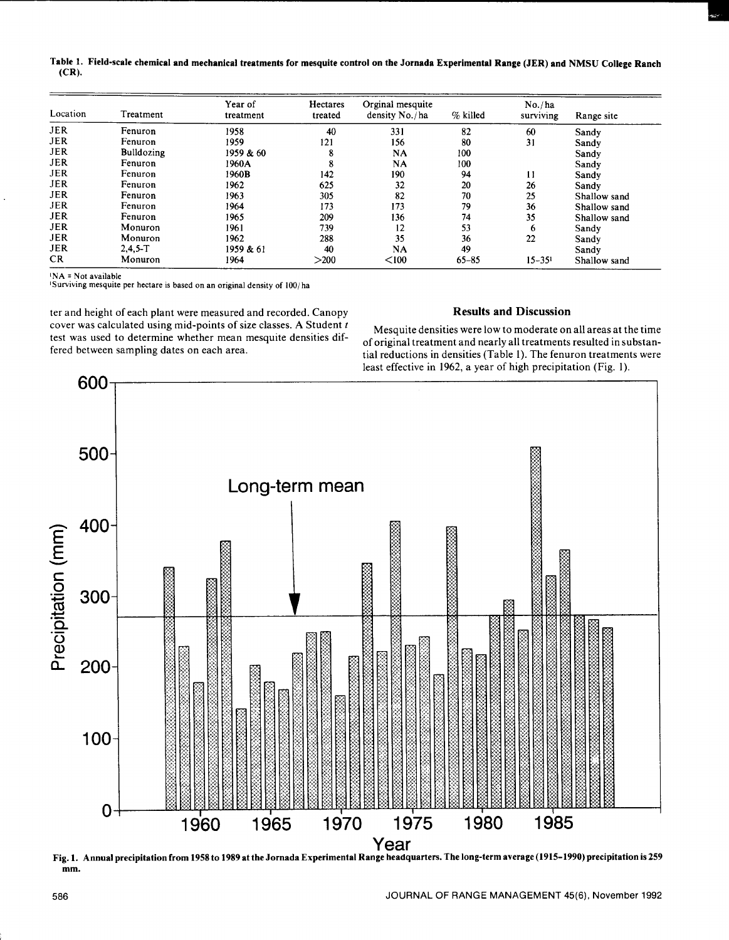Table 1. Field-scale chemical and mechanical treatments for mesquite control on the Jornada Experimental Range (JER) and NMSU College Ranch  $(CR)$ .

| Location   | Treatment         | Year of<br>treatment | Hectares<br>treated | Orginal mesquite<br>density No./ha | % killed  | No./ha<br>surviving | Range site   |
|------------|-------------------|----------------------|---------------------|------------------------------------|-----------|---------------------|--------------|
| <b>JER</b> | Fenuron           | 1958                 | 40                  | 331                                | 82        | 60                  | Sandy        |
| <b>JER</b> | Fenuron           | 1959                 | 121                 | 156                                | 80        | 31                  | Sandy        |
| <b>JER</b> | <b>Bulldozing</b> | 1959 & 60            | 8                   | <b>NA</b>                          | 100       |                     | Sandy        |
| <b>JER</b> | Fenuron           | 1960A                | 8                   | <b>NA</b>                          | 100       |                     | Sandy        |
| <b>JER</b> | Fenuron           | 1960B                | 142                 | 190                                | 94        | 11                  | Sandy        |
| <b>JER</b> | Fenuron           | 1962                 | 625                 | 32                                 | 20        | 26                  | Sandy        |
| <b>JER</b> | Fenuron           | 1963                 | 305                 | 82                                 | 70        | 25                  | Shallow sand |
| <b>JER</b> | Fenuron           | 1964                 | 173                 | 173                                | 79        | 36                  | Shallow sand |
| <b>JER</b> | Fenuron           | 1965                 | 209                 | 136                                | 74        | 35                  | Shallow sand |
| <b>JER</b> | Monuron           | 1961                 | 739                 | 12                                 | 53        | 6                   | Sandy        |
| <b>JER</b> | Monuron           | 1962                 | 288                 | 35                                 | 36        | 22                  | Sandy        |
| <b>JER</b> | $2.4.5-T$         | 1959 & 61            | 40                  | <b>NA</b>                          | 49        |                     | Sandy        |
| <b>CR</b>  | Monuron           | 1964                 | >200                | < 100                              | $65 - 85$ | $15 - 351$          | Shallow sand |

 $INA = Not available$ 

Surviving mesquite per hectare is based on an original density of 100/ha

ter and height of each plant were measured and recorded. Canopy cover was calculated using mid-points of size classes. A Student t test was used to determine whether mean mesquite densities differed between sampling dates on each area.

# **Results and Discussion**

Mesquite densities were low to moderate on all areas at the time of original treatment and nearly all treatments resulted in substantial reductions in densities (Table 1). The fenuron treatments were least effective in 1962, a year of high precipitation (Fig. 1).



Fig. 1. Annual precipitation from 1958 to 1989 at the Jornada Experimental Range headquarters. The long-term average (1915-1990) precipitation is 259 mm.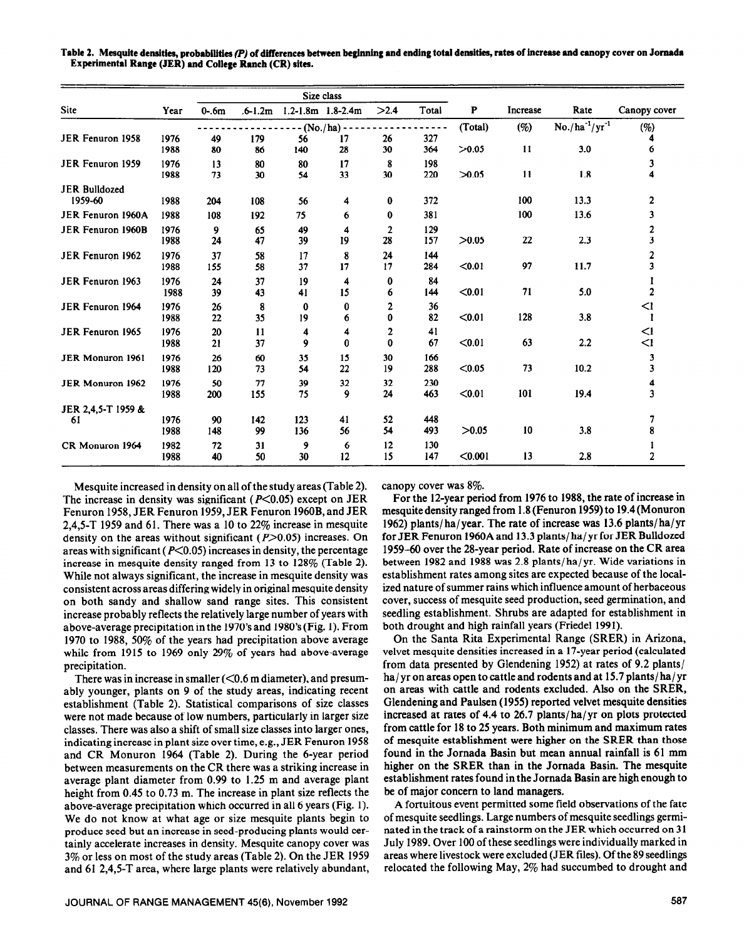|                                 |              | Size class |             |            |                             |          |            |         |               |                       |                |
|---------------------------------|--------------|------------|-------------|------------|-----------------------------|----------|------------|---------|---------------|-----------------------|----------------|
| Site                            | Year         | $0-6m$     | $.6 - 1.2m$ |            | $1.2 - 1.8$ m $1.8 - 2.4$ m | >2.4     | Total      | P       | Increase      | Rate                  | Canopy cover   |
| <b>JER Fenuron 1958</b>         | 1976         | 49         | 179         | 56         | $(No./ha)$ -<br>17          | 26       | 327        | (Total) | (%)           | $No./ha^{-1}/yr^{-1}$ | (%)            |
|                                 | 1988         | 80         | 86          | 140        | 28                          | 30       | 364        | >0.05   | $\mathbf{11}$ | 3.0                   | 6              |
| JER Fenuron 1959                | 1976<br>1988 | 13<br>73   | 80<br>30    | 80<br>54   | 17<br>33                    | 8<br>30  | 198<br>220 | >0.05   | 11            | 1.8                   | 3<br>4         |
| <b>JER Bulldozed</b><br>1959-60 | 1988         | 204        | 108         | 56         | 4                           | 0        | 372        |         | 100           | 13.3                  | 2              |
| JER Fenuron 1960A               | 1988         | 108        | 192         | 75         | 6                           | 0        | 381        |         | 100           | 13.6                  | 3              |
| JER Fenuron 1960B               | 1976<br>1988 | 9<br>24    | 65<br>47    | 49<br>39   | 4<br>19                     | 2<br>28  | 129<br>157 | >0.05   | 22            | 2.3                   | 2<br>3         |
| JER Fenuron 1962                | 1976<br>1988 | 37<br>155  | 58<br>58    | 17<br>37   | 8<br>17                     | 24<br>17 | 144<br>284 | $0.01$  | 97            | 11.7                  | 2<br>3         |
| JER Fenuron 1963                | 1976<br>1988 | 24<br>39   | 37<br>43    | 19<br>41   | 4<br>15                     | 0<br>6   | 84<br>144  | < 0.01  | 71            | 5.0                   | $\overline{c}$ |
| JER Fenuron 1964                | 1976<br>1988 | 26<br>22   | 8<br>35     | 0<br>19    | 0<br>6                      | 2<br>0   | 36<br>82   | < 0.01  | 128           | 3.8                   | <1             |
| JER Fenuron 1965                | 1976<br>1988 | 20<br>21   | 11<br>37    | 4<br>9     | 4<br>$\bf{0}$               | 2<br>0   | 41<br>67   | < 0.01  | 63            | 2.2                   | <1<br>$\leq$ 1 |
| <b>JER Monuron 1961</b>         | 1976<br>1988 | 26<br>120  | 60<br>73    | 35<br>54   | 15<br>22                    | 30<br>19 | 166<br>288 | < 0.05  | 73            | 10.2                  | 3<br>3         |
| <b>JER Monuron 1962</b>         | 1976<br>1988 | 50<br>200  | 77<br>155   | 39<br>75   | 32<br>9                     | 32<br>24 | 230<br>463 | < 0.01  | 101           | 19.4                  | 4<br>3         |
| JER 2,4,5-T 1959 &              |              |            |             |            |                             |          |            |         |               |                       |                |
| 61                              | 1976<br>1988 | 90<br>148  | 142<br>99   | 123<br>136 | 41<br>56                    | 52<br>54 | 448<br>493 | >0.05   | 10            | 3.8                   | 7<br>8         |
| CR Monuron 1964                 | 1982<br>1988 | 72<br>40   | 31<br>50    | 9<br>30    | 6<br>12                     | 12<br>15 | 130<br>147 | < 0.001 | 13            | 2.8                   | 2              |

Table 2. Mesquite densities, probabilities (P) of differences between beginning and ending total densities, rates of increase and canopy cover on Jornada **Experimental Range (JER) and College Ranch (CR) sites.** 

Mesquite increased in density on all of the study areas (Table 2). The increase in density was significant ( $P<0.05$ ) except on JER Fenuron 1958, JER Fenuron 1959, JER Fenuron 1960B, and JER 2,4,5-T 1959 and 61. There was a 10 to 22% increase in mesquite density on the areas without significant ( $P$ >0.05) increases. On areas with significant ( $P \le 0.05$ ) increases in density, the percentage increase in mesquite density ranged from 13 to 128% (Table 2). While not always significant, the increase in mesquite density was consistent across areas differing widely in original mesquite density on both sandy and shallow sand range sites. This consistent increase probably reflects the relatively large number of years with above-average precipitation in the 1970's and 1980's (Fig. 1). From 1970 to 1988, 50% of the years had precipitation above average while from 1915 to 1969 only 29% of years had above-average precipitation.

There was in increase in smaller  $(<0.6$  m diameter), and presumably younger, plants on 9 of the study areas, indicating recent establishment (Table 2). Statistical comparisons of size classes were not made because of low numbers, particularly in larger size classes. There was also a shift of small size classes into larger ones, indicating increase in plant size over time, e.g., JER Fenuron 1958 and CR Monuron 1964 (Table 2). During the 6-year period between measurements on the CR there was a striking increase in average plant diameter from 0.99 to 1.25 m and average plant height from 0.45 to 0.73 m. The increase in plant size reflects the above-average precipitation which occurred in all 6 years (Fig. 1). We do not know at what age or size mesquite plants begin to produce seed but an increase in seed-producing plants would certainly accelerate increases in density. Mesquite canopy cover was 3% or less on most of the study areas (Table 2). On the JER 1959 and 61 2,4,5-T area, where large plants were relatively abundant, canopy cover was 8%.

For the 12-year period from 1976 to 1988, the rate of increase in mesquite density ranged from 1.8 (Fenuron 1959) to 19.4 (Monuron 1962) plants/ha/year. The rate of increase was 13.6 plants/ha/yr for JER Fenuron 1960A and 13.3 plants/ **ha/ yr** for JER Bulldozed 1959-60 over the 28-year period. Rate of increase on the CR area between 1982 and 1988 was 2.8 plants/ ha/ yr. Wide variations in establishment rates among sites are expected because of the localized nature of summer rains which influence amount of herbaceous cover, success of mesquite seed production, seed germination, and seedling establishment. Shrubs are adapted for establishment in both drought and high rainfall years (Friedel 1991).

On the Santa Rita Experimental Range (SRER) in Arizona, velvet mesquite densities increased in a 17-year period (calculated from data presented by Glendening 1952) at rates of 9.2 plants/ **ha/** yr on areas open to cattle and rodents and at 15.7 plants/ **ha/** yr on areas with cattle and rodents excluded. Also on the SRER, Glendening and Paulsen (1955) reported velvet mesquite densities increased at rates of 4.4 to 26.7 plants/ha/yr on plots protected from cattle for 18 to 25 years. Both minimum and maximum rates of mesquite establishment were higher on the SRER than those found in the Jomada Basin but mean annual rainfall is 61 mm higher on the SRER than in the Jornada Basin. The mesquite establishment rates found in the Jornada Basin are high enough to be of major concern to land managers.

A fortuitous event permitted some field observations of the fate of mesquite seedlings. Large numbers of mesquite seedlings germinated in the track of a rainstorm on the JER which occurred on 3 1 July 1989. Over 100 of these seedlings were individually marked in areas where livestock were excluded (JER files). Of the 89 seedlings relocated the following May, 2% had succumbed to drought and